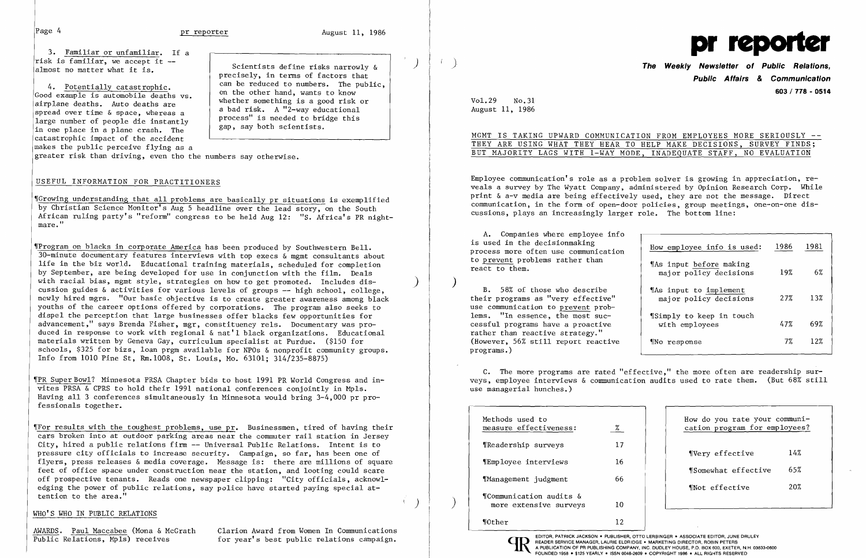3. Familiar or unfamiliar. If a risk is familiar, we accept it almost no matter what it is.

4. Potentially catastrophic. Good example is automobile deaths vs. airplane deaths. Auto deaths are spread over time & space, whereas a large number of people die instantly in one place in a plane crash. The catastrophic impact of the accident makes the public perceive flying as a

Scientists define risks narrowly & precisely, in terms of factors that can be reduced to numbers. The public, on the other hand, wants to know whether something is a good risk or a bad risk. A "2-way educational process" is needed to bridge this gap, say both scientists.

greater risk than driving, even tho the numbers say otherwise.

#### USEFUL INFORMATION FOR PRACTITIONERS

~[Growing understanding that all problems are basically pr situations is exemplified by Christian Science Monitor's Aug 5 headline over the lead story, on the South African ruling party's "reform" congress to be held Aug 12: "S. Africa's PR nightmare."

 $\P$ Program on blacks in corporate America has been produced by Southwestern Bell.  $30$ -minute documentary features interviews with top execs  $\&$  memt consultants about life in the biz world. Educational training materials, scheduled for completion by September, are being developed for use in conjunction with the film. Deals with racial bias, mgmt style, strategies on how to get promoted. Includes discussion guides & activities for various levels of groups -- high school, college, newly hired mgrs. "Our basic objective is to create greater awareness among black youths of the career options offered by corporations. The program also seeks to dispel the perception that large businesses offer blacks few opportunities for advancement," says Brenda Fisher, mgr, constituency rels. Documentary was produced in response to work with regional & nat'l black organizations. Educational materials written by Geneva Gay, curriculum specialist at Purdue. (\$150 for schools, \$325 for bizs, loan prgm available for NPOs & nonprofit community groups. Info from 1010 Pine St, Rm.1008, St. Louis, Mo. 63101; 314/235-8875)

 $\mathbb T$ For results with the toughest problems, use pr. Businessmen, tired of having their cars broken into at outdoor parking areas near the commuter rail station in Jersey City, hired a public relations firm -- Universal Public Relations. Intent is to pressure city officials to increase security. Campaign, so far, has been one of flyers, press releases  $\&$  media coverage. Message is: there are millions of square feet of office space under construction near the station, and looting could scare off prospective tenants. Reads one newspaper clipping: "City officials, acknowledging the power of public relations, say police have started paying special at tention to the area."

AWARDS. Paul Maccabee (Mona & McGrath Public Relations, Mpls) receives

A. Companies where employee info is used in the decisionmaking process more often use communication to prevent problems rather than react to them.

~rPR Super Bowl? Minnesota PRSA Chapter bids to host 1991 PR World Congress and invites PRSA  $\&$  CPRS to hold their 1991 national conferences conjointly in Mpls. Having all 3 conferences simultaneously in Minnesota would bring 3-4,000 pr professionals together.

> $)$  | I

### WHO'S WHO IN PUBLIC RELATIONS

Clarion Award from Women In Communications for year's best public relations campaign.

)



## ) **The Weekly Newsletter of Public Relations, Public Affairs & Communication 603/778 - 0514**

| ON FROM EMPLOYEES MORE SERIOUSLY -- |  |  |  |  |  |  |  |  |  |  |  |  |  |  |
|-------------------------------------|--|--|--|--|--|--|--|--|--|--|--|--|--|--|
| HELP MAKE DECISIONS, SURVEY FINDS;  |  |  |  |  |  |  |  |  |  |  |  |  |  |  |
| , INADEQUATE STAFF, NO EVALUATION   |  |  |  |  |  |  |  |  |  |  |  |  |  |  |

VoL 29 No.31 August 11, 1986

## MGMT IS TAKING UPWARD COMMUNICATI THEY ARE USING WHAT THEY HEAR TO BUT MAJORITY LAGS WITH 1-WAY MODE

Employee communication's role as a problem solver is growing in appreciation, reveals a survey by The Wyatt Company, administered by Opinion Research Corp. While print & a-v media are being effectively used, they are not the message. Direct communication, in the form of open-door policies, group meetings, one-on-one discussions, plays an increasingly larger role. The bottom line:

) B. 58% of those who describe their programs as "very effective" use communication to prevent problems. "In essence, the most successful programs have a proactive rather than reactive strategy." (However, 56% still report reactive programs. )

| How employee info is used:                        | 1986 | 1981 |
|---------------------------------------------------|------|------|
| "As input before making<br>major policy decisions | 19%  | 6%   |
| TAs input to implement<br>major policy decisions  | 2.7% | 13%  |
| Simply to keep in touch<br>with employees         | 47%  | 69%  |
| ¶No response                                      | 7%   | 12%  |

C. The more programs are rated "effective," the more often are readership surveys, employee interviews & communication audits used to rate them. (But 68% still use managerial hunches.)

| Methods used to<br>measure effectiveness:         | %            |
|---------------------------------------------------|--------------|
| <i>Neadership</i> surveys                         | 17           |
| ¶Employee interviews                              | 16           |
| Management judgment                               | 66           |
| ¶Communication audits &<br>more extensive surveys | 10           |
| <b>M</b> Other                                    | 12           |
| <b>DATOIOK IAOKOOL .</b>                          | החונהו והווה |

EDITOR, PATRICK JACKSON • PUBLISHER, OTTO LERBINGER • ASSOCIATE EDITOR, JUNE DRULEY<br>
READER SERVICE MANAGER, LAURIE ELDRIDGE • MARKETING DIRECTOR, ROBIN PETERS<br>
A PUBLICATION OF PR PUBLISHING COMPANY, INC. DUDLEY HOUSE, P. READER SERVICE MANAGER, LAURIE ELDRIDGE. MARKETING DIRECTOR, ROBIN PETERS A PUBLICATION OF PR PUBLISHING COMPANY, INC. DUDLEY HOUSE, P.O. BOX 600, EXETER, N.H. 03833-0600

| How do you rate your communi-<br>cation program for employees? |     |
|----------------------------------------------------------------|-----|
| <i><u>Very</u></i> effective                                   | 14% |
| <i>Somewhat</i> effective                                      | 65% |
| Whot effective                                                 | 20% |
|                                                                |     |